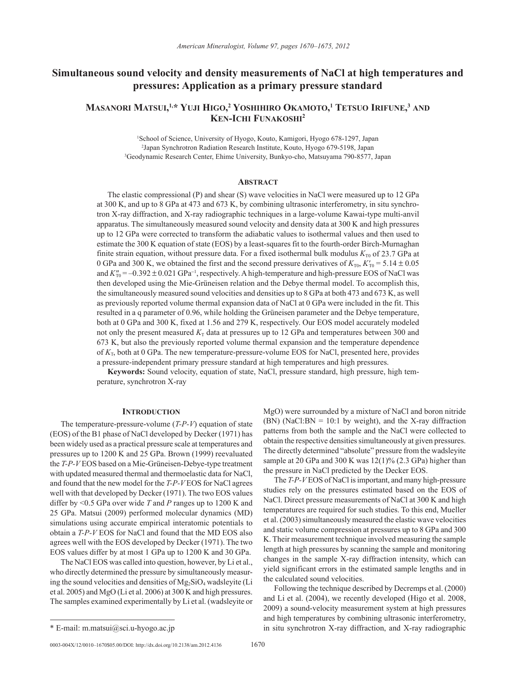# **Simultaneous sound velocity and density measurements of NaCl at high temperatures and pressures: Application as a primary pressure standard**

## **Masanori Matsui, 1,\* Yuji Higo, 2 Yoshihiro Okamoto, <sup>1</sup> Tetsuo Irifune, <sup>3</sup> and Ken-Ichi Funakoshi 2**

1 School of Science, University of Hyogo, Kouto, Kamigori, Hyogo 678-1297, Japan 2 Japan Synchrotron Radiation Research Institute, Kouto, Hyogo 679-5198, Japan 3 Geodynamic Research Center, Ehime University, Bunkyo-cho, Matsuyama 790-8577, Japan

## **Abstract**

The elastic compressional (P) and shear (S) wave velocities in NaCl were measured up to 12 GPa at 300 K, and up to 8 GPa at 473 and 673 K, by combining ultrasonic interferometry, in situ synchrotron X-ray diffraction, and X-ray radiographic techniques in a large-volume Kawai-type multi-anvil apparatus. The simultaneously measured sound velocity and density data at 300 K and high pressures up to 12 GPa were corrected to transform the adiabatic values to isothermal values and then used to estimate the 300 K equation of state (EOS) by a least-squares fit to the fourth-order Birch-Murnaghan finite strain equation, without pressure data. For a fixed isothermal bulk modulus  $K_{T0}$  of 23.7 GPa at 0 GPa and 300 K, we obtained the first and the second pressure derivatives of  $K_{T0}$ ,  $K'_{T0} = 5.14 \pm 0.05$ and *K*<sub>T0</sub> = −0.392 ± 0.021 GPa<sup>-1</sup>, respectively. A high-temperature and high-pressure EOS of NaCl was then developed using the Mie-Grüneisen relation and the Debye thermal model. To accomplish this, the simultaneously measured sound velocities and densities up to 8 GPa at both 473 and 673 K, as well as previously reported volume thermal expansion data of NaCl at 0 GPa were included in the fit. This resulted in a q parameter of 0.96, while holding the Grüneisen parameter and the Debye temperature, both at 0 GPa and 300 K, fixed at 1.56 and 279 K, respectively. Our EOS model accurately modeled not only the present measured  $K<sub>T</sub>$  data at pressures up to 12 GPa and temperatures between 300 and 673 K, but also the previously reported volume thermal expansion and the temperature dependence of *K*T, both at 0 GPa. The new temperature-pressure-volume EOS for NaCl, presented here, provides a pressure-independent primary pressure standard at high temperatures and high pressures.

**Keywords:** Sound velocity, equation of state, NaCl, pressure standard, high pressure, high temperature, synchrotron X-ray

### **INTRODUCTION**

The temperature-pressure-volume (*T-P-V*) equation of state (EOS) of the B1 phase of NaCl developed by Decker (1971) has been widely used as a practical pressure scale at temperatures and pressures up to 1200 K and 25 GPa. Brown (1999) reevaluated the *T-P-V* EOS based on a Mie-Grüneisen-Debye-type treatment with updated measured thermal and thermoelastic data for NaCl, and found that the new model for the *T-P-V* EOS for NaCl agrees well with that developed by Decker (1971). The two EOS values differ by <0.5 GPa over wide *T* and *P* ranges up to 1200 K and 25 GPa. Matsui (2009) performed molecular dynamics (MD) simulations using accurate empirical interatomic potentials to obtain a *T-P-V* EOS for NaCl and found that the MD EOS also agrees well with the EOS developed by Decker (1971). The two EOS values differ by at most 1 GPa up to 1200 K and 30 GPa.

The NaCl EOS was called into question, however, by Li et al., who directly determined the pressure by simultaneously measuring the sound velocities and densities of  $Mg_2SiO_4$  wadsleyite (Li et al. 2005) and MgO (Li et al. 2006) at 300 K and high pressures. The samples examined experimentally by Li et al. (wadsleyite or

obtain the respective densities simultaneously at given pressures. The directly determined "absolute" pressure from the wadsleyite sample at 20 GPa and 300 K was 12(1)% (2.3 GPa) higher than the pressure in NaCl predicted by the Decker EOS. The *T-P-V* EOS of NaCl is important, and many high-pressure

MgO) were surrounded by a mixture of NaCl and boron nitride (BN) (NaCl:BN =  $10:1$  by weight), and the X-ray diffraction patterns from both the sample and the NaCl were collected to

studies rely on the pressures estimated based on the EOS of NaCl. Direct pressure measurements of NaCl at 300 K and high temperatures are required for such studies. To this end, Mueller et al. (2003) simultaneously measured the elastic wave velocities and static volume compression at pressures up to 8 GPa and 300 K. Their measurement technique involved measuring the sample length at high pressures by scanning the sample and monitoring changes in the sample X-ray diffraction intensity, which can yield significant errors in the estimated sample lengths and in the calculated sound velocities.

Following the technique described by Decremps et al. (2000) and Li et al. (2004), we recently developed (Higo et al. 2008, 2009) a sound-velocity measurement system at high pressures and high temperatures by combining ultrasonic interferometry, \* E-mail: m.matsui@sci.u-hyogo.ac.jp in situ synchrotron X-ray diffraction, and X-ray radiographic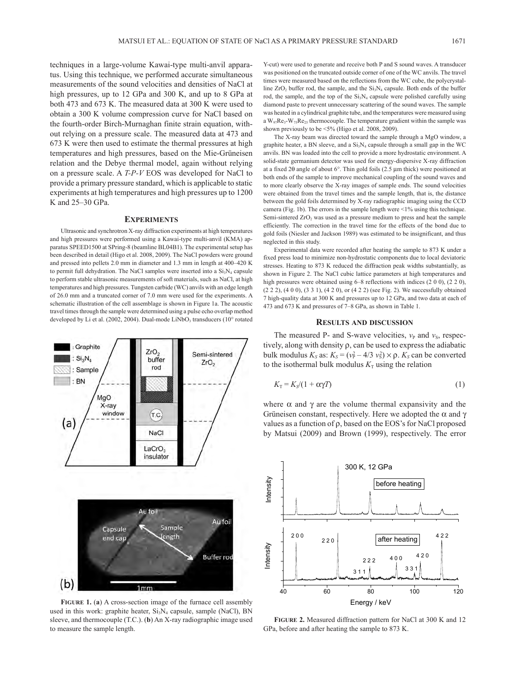techniques in a large-volume Kawai-type multi-anvil apparatus. Using this technique, we performed accurate simultaneous measurements of the sound velocities and densities of NaCl at high pressures, up to 12 GPa and 300 K, and up to 8 GPa at both 473 and 673 K. The measured data at 300 K were used to obtain a 300 K volume compression curve for NaCl based on the fourth-order Birch-Murnaghan finite strain equation, without relying on a pressure scale. The measured data at 473 and 673 K were then used to estimate the thermal pressures at high temperatures and high pressures, based on the Mie-Grüneisen relation and the Debye thermal model, again without relying on a pressure scale. A *T-P-V* EOS was developed for NaCl to provide a primary pressure standard, which is applicable to static experiments at high temperatures and high pressures up to 1200 K and 25–30 GPa.

## **Experiments**

Ultrasonic and synchrotron X-ray diffraction experiments at high temperatures and high pressures were performed using a Kawai-type multi-anvil (KMA) apparatus SPEED1500 at SPring-8 (beamline BL04B1). The experimental setup has been described in detail (Higo et al. 2008, 2009). The NaCl powders were ground and pressed into pellets 2.0 mm in diameter and 1.3 mm in length at 400–420 K to permit full dehydration. The NaCl samples were inserted into a  $Si<sub>3</sub>N<sub>4</sub>$  capsule to perform stable ultrasonic measurements of soft materials, such as NaCl, at high temperatures and high pressures. Tungsten carbide (WC) anvils with an edge length of 26.0 mm and a truncated corner of 7.0 mm were used for the experiments. A schematic illustration of the cell assemblage is shown in Figure 1a. The acoustic travel times through the sample were determined using a pulse echo overlap method developed by Li et al. (2002, 2004). Dual-mode LiNbO<sub>3</sub> transducers (10° rotated



**Figure 1.** (**a**) A cross-section image of the furnace cell assembly used in this work: graphite heater,  $Si<sub>3</sub>N<sub>4</sub>$  capsule, sample (NaCl), BN sleeve, and thermocouple (T.C.). (**b**) An X-ray radiographic image used to measure the sample length.

Y-cut) were used to generate and receive both P and S sound waves. A transducer was positioned on the truncated outside corner of one of the WC anvils. The travel times were measured based on the reflections from the WC cube, the polycrystalline  $ZrO_2$  buffer rod, the sample, and the  $Si_3N_4$  capsule. Both ends of the buffer rod, the sample, and the top of the  $Si<sub>3</sub>N<sub>4</sub>$  capsule were polished carefully using diamond paste to prevent unnecessary scattering of the sound waves. The sample was heated in a cylindrical graphite tube, and the temperatures were measured using a  $W_{97}Re_3-W_{75}Re_{25}$  thermocouple. The temperature gradient within the sample was shown previously to be <5% (Higo et al. 2008, 2009).

The X-ray beam was directed toward the sample through a MgO window, a graphite heater, a BN sleeve, and a  $Si_3N_4$  capsule through a small gap in the WC anvils. BN was loaded into the cell to provide a more hydrostatic environment. A solid-state germanium detector was used for energy-dispersive X-ray diffraction at a fixed 2θ angle of about 6°. Thin gold foils (2.5 µm thick) were positioned at both ends of the sample to improve mechanical coupling of the sound waves and to more clearly observe the X-ray images of sample ends. The sound velocities were obtained from the travel times and the sample length, that is, the distance between the gold foils determined by X-ray radiographic imaging using the CCD camera (Fig. 1b). The errors in the sample length were <1% using this technique. Semi-sintered ZrO<sub>2</sub> was used as a pressure medium to press and heat the sample efficiently. The correction in the travel time for the effects of the bond due to gold foils (Niesler and Jackson 1989) was estimated to be insignificant, and thus neglected in this study.

Experimental data were recorded after heating the sample to 873 K under a fixed press load to minimize non-hydrostatic components due to local deviatoric stresses. Heating to 873 K reduced the diffraction peak widths substantially, as shown in Figure 2. The NaCl cubic lattice parameters at high temperatures and high pressures were obtained using 6–8 reflections with indices (2 0 0), (2 2 0), (2 2 2), (4 0 0), (3 3 1), (4 2 0), or (4 2 2) (see Fig. 2). We successfully obtained 7 high-quality data at 300 K and pressures up to 12 GPa, and two data at each of 473 and 673 K and pressures of 7–8 GPa, as shown in Table 1.

## **Results and discussion**

The measured P- and S-wave velocities,  $v_{\rm P}$  and  $v_{\rm S}$ , respectively, along with density ρ, can be used to express the adiabatic bulk modulus  $K_S$  as:  $K_S = (v_P^2 - 4/3 v_S^2) \times \rho$ .  $K_S$  can be converted to the isothermal bulk modulus  $K<sub>T</sub>$  using the relation

$$
K_{\rm T} = K_{\rm S} / (1 + \alpha \gamma T) \tag{1}
$$

where  $\alpha$  and  $\gamma$  are the volume thermal expansivity and the Grüneisen constant, respectively. Here we adopted the  $\alpha$  and  $\gamma$ values as a function of ρ, based on the EOS's for NaCl proposed by Matsui (2009) and Brown (1999), respectively. The error



**Figure 2.** Measured diffraction pattern for NaCl at 300 K and 12 GPa, before and after heating the sample to 873 K.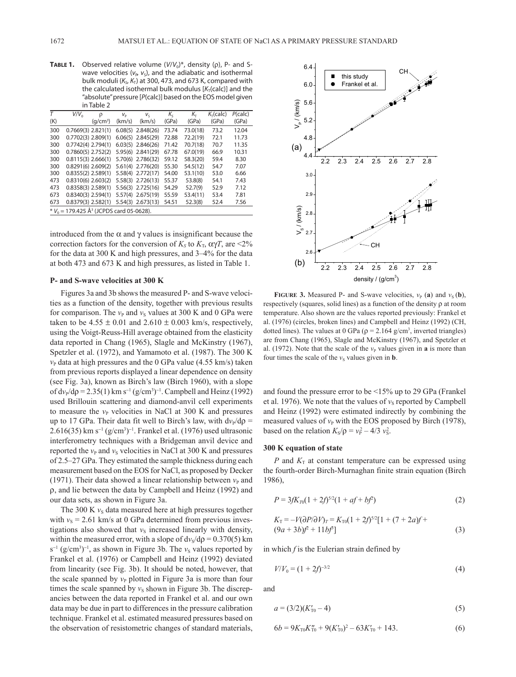**TABLE 1.** Observed relative volume ( $V/V<sub>0</sub>$ )<sup>\*</sup>, density (ρ), P- and Swave velocities ( $v_P$ ,  $v_S$ ), and the adiabatic and isothermal bulk moduli (K<sub>S</sub>, K<sub>T</sub>) at 300, 473, and 673 K, compared with the calculated isothermal bulk modulus [K<sub>T</sub>(calc)] and the "absolute" pressure [*P*(calc)] based on the EOS model given in Table 2

| T                                                      | $V/V_0$              | ρ                    | $V_{\rm P}$ | $V_{\varsigma}$     | $K_{S}$ | Kт       | K <sub>T</sub> (calc) | P(calc) |
|--------------------------------------------------------|----------------------|----------------------|-------------|---------------------|---------|----------|-----------------------|---------|
| (K)                                                    |                      | (q/cm <sup>3</sup> ) | (km/s)      | (km/s)              | (GPa)   | (GPa)    | (GPa)                 | (GPa)   |
| 300                                                    | $0.7669(3)$ 2.821(1) |                      |             | $6.08(5)$ 2.848(26) | 73.74   | 73.0(18) | 73.2                  | 12.04   |
| 300                                                    | $0.7702(3)$ 2.809(1) |                      |             | $6.06(5)$ 2.845(29) | 72.88   | 72.2(19) | 72.1                  | 11.73   |
| 300                                                    | $0.7742(4)$ 2.794(1) |                      |             | $6.03(5)$ 2.846(26) | 71.42   | 70.7(18) | 70.7                  | 11.35   |
| 300                                                    | $0.7860(5)$ 2.752(2) |                      |             | 5.95(6) 2.841(29)   | 67.78   | 67.0(19) | 66.9                  | 10.31   |
| 300                                                    | $0.8115(3)$ 2.666(1) |                      |             | 5.70(6) 2.786(32)   | 59.12   | 58.3(20) | 59.4                  | 8.30    |
| 300                                                    | $0.8291(6)$ 2.609(2) |                      |             | 5.61(4) 2.776(20)   | 55.30   | 54.5(12) | 54.7                  | 7.07    |
| 300                                                    | $0.8355(2)$ 2.589(1) |                      |             | 5.58(4) 2.772(17)   | 54.00   | 53.1(10) | 53.0                  | 6.66    |
| 473                                                    | $0.8310(6)$ 2.603(2) |                      |             | 5.58(3) 2.726(13)   | 55.37   | 53.8(8)  | 54.1                  | 7.43    |
| 473                                                    | $0.8358(3)$ 2.589(1) |                      |             | 5.56(3) 2.725(16)   | 54.29   | 52.7(9)  | 52.9                  | 7.12    |
| 673                                                    | $0.8340(3)$ 2.594(1) |                      |             | 5.57(4) 2.675(19)   | 55.59   | 53.4(11) | 53.4                  | 7.81    |
| 673                                                    | $0.8379(3)$ 2.582(1) |                      |             | 5.54(3) 2.673(13)   | 54.51   | 52.3(8)  | 52.4                  | 7.56    |
| * $V_0$ = 179.425 Å <sup>3</sup> (JCPDS card 05-0628). |                      |                      |             |                     |         |          |                       |         |
|                                                        |                      |                      |             |                     |         |          |                       |         |

introduced from the  $\alpha$  and  $\gamma$  values is insignificant because the correction factors for the conversion of  $K_s$  to  $K_T$ ,  $\alpha \gamma T$ , are <2% for the data at 300 K and high pressures, and 3–4% for the data at both 473 and 673 K and high pressures, as listed in Table 1.

#### **P- and S-wave velocities at 300 K**

Figures 3a and 3b shows the measured P- and S-wave velocities as a function of the density, together with previous results for comparison. The  $v_P$  and  $v_S$  values at 300 K and 0 GPa were taken to be  $4.55 \pm 0.01$  and  $2.610 \pm 0.003$  km/s, respectively, using the Voigt-Reuss-Hill average obtained from the elasticity data reported in Chang (1965), Slagle and McKinstry (1967), Spetzler et al. (1972), and Yamamoto et al. (1987). The 300 K  $v<sub>P</sub>$  data at high pressures and the 0 GPa value (4.55 km/s) taken from previous reports displayed a linear dependence on density (see Fig. 3a), known as Birch's law (Birch 1960), with a slope of  $dv_p/dp = 2.35(1)$  km s<sup>-1</sup> (g/cm<sup>3</sup>)<sup>-1</sup>. Campbell and Heinz (1992) used Brillouin scattering and diamond-anvil cell experiments to measure the  $v_P$  velocities in NaCl at 300 K and pressures up to 17 GPa. Their data fit well to Birch's law, with  $dv_p/d\rho =$  $2.616(35)$  km s<sup>-1</sup> (g/cm<sup>3</sup>)<sup>-1</sup>. Frankel et al. (1976) used ultrasonic interferometry techniques with a Bridgeman anvil device and reported the  $v_{\rm P}$  and  $v_{\rm S}$  velocities in NaCl at 300 K and pressures of 2.5–27 GPa. They estimated the sample thickness during each measurement based on the EOS for NaCl, as proposed by Decker (1971). Their data showed a linear relationship between  $v<sub>P</sub>$  and ρ, and lie between the data by Campbell and Heinz (1992) and our data sets, as shown in Figure 3a.

The 300 K  $v<sub>s</sub>$  data measured here at high pressures together with  $v<sub>S</sub> = 2.61$  km/s at 0 GPa determined from previous investigations also showed that  $v<sub>S</sub>$  increased linearly with density, within the measured error, with a slope of  $dv_s/d\rho = 0.370(5)$  km s<sup>-1</sup> (g/cm<sup>3</sup>)<sup>-1</sup>, as shown in Figure 3b. The *v*<sub>S</sub> values reported by Frankel et al. (1976) or Campbell and Heinz (1992) deviated from linearity (see Fig. 3b). It should be noted, however, that the scale spanned by  $v_{\rm P}$  plotted in Figure 3a is more than four times the scale spanned by  $v<sub>S</sub>$  shown in Figure 3b. The discrepancies between the data reported in Frankel et al. and our own data may be due in part to differences in the pressure calibration technique. Frankel et al. estimated measured pressures based on the observation of resistometric changes of standard materials,



**FIGURE** 3. Measured P- and S-wave velocities,  $v_P$  (a) and  $v_S$  (b), respectively (squares, solid lines) as a function of the density ρ at room temperature. Also shown are the values reported previously: Frankel et al. (1976) (circles, broken lines) and Campbell and Heinz (1992) (CH, dotted lines). The values at 0 GPa ( $\rho = 2.164$  g/cm<sup>3</sup>, inverted triangles) are from Chang (1965), Slagle and McKinstry (1967), and Spetzler et al. (1972). Note that the scale of the  $v_P$  values given in **a** is more than four times the scale of the  $v<sub>S</sub>$  values given in **b**.

and found the pressure error to be <15% up to 29 GPa (Frankel et al. 1976). We note that the values of  $v<sub>S</sub>$  reported by Campbell and Heinz (1992) were estimated indirectly by combining the measured values of  $v_{\rm P}$  with the EOS proposed by Birch (1978), based on the relation  $K_S/\rho = v_P^2 - 4/3 v_S^2$ .

#### **300 K equation of state**

*P* and  $K_T$  at constant temperature can be expressed using the fourth-order Birch-Murnaghan finite strain equation (Birch 1986),

$$
P = 3fK_{70}(1 + 2f)^{5/2}(1 + af + bf^2)
$$
 (2)

$$
K_{\rm T} = -V(\partial P/\partial V)_{\rm T} = K_{\rm T0}(1 + 2f)^{5/2}[1 + (7 + 2af)^2 + (9a + 3b)f^2 + 11bf^3]
$$
\n(3)

in which  $f$  is the Eulerian strain defined by

$$
V/V_0 = (1 + 2f)^{-3/2} \tag{4}
$$

and

$$
a = (3/2)(K'_{10} - 4) \tag{5}
$$

$$
6b = 9K_{T0}K_{T0}'' + 9(K_{T0}')^2 - 63K_{T0}' + 143. \tag{6}
$$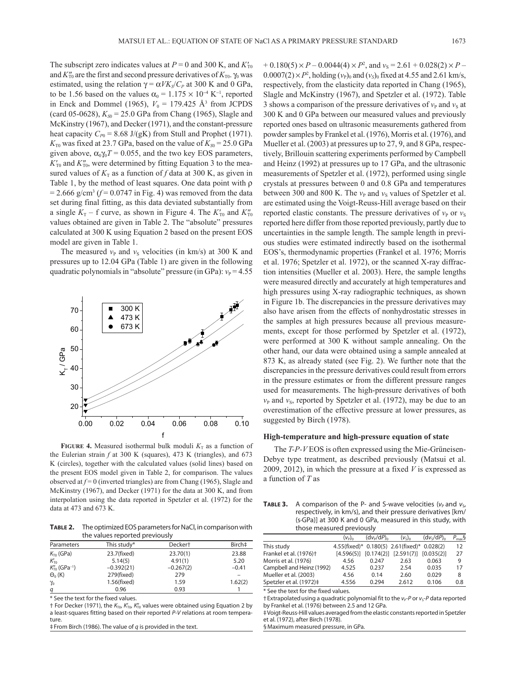The subscript zero indicates values at  $P = 0$  and 300 K, and  $K'_{T0}$ and  $K''_{\text{T0}}$  are the first and second pressure derivatives of  $K_{\text{T0}}$ .  $\gamma_0$  was estimated, using the relation  $\gamma = \alpha V K_S / C_P$  at 300 K and 0 GPa, to be 1.56 based on the values  $\alpha_0 = 1.175 \times 10^{-4} \text{ K}^{-1}$ , reported in Enck and Dommel (1965),  $V_0 = 179.425 \text{ Å}^3$  from JCPDS (card 05-0628),  $K_{S0} = 25.0$  GPa from Chang (1965), Slagle and McKinstry (1967), and Decker (1971), and the constant-pressure heat capacity  $C_{p0}$  = 8.68 J/(gK) from Stull and Prophet (1971).  $K_{\text{TO}}$  was fixed at 23.7 GPa, based on the value of  $K_{\text{SO}} = 25.0$  GPa given above,  $\alpha_0 \gamma_0 T = 0.055$ , and the two key EOS parameters,  $K'_{\text{TO}}$  and  $K''_{\text{TO}}$ , were determined by fitting Equation 3 to the measured values of  $K_T$  as a function of f data at 300 K, as given in Table 1, by the method of least squares. One data point with ρ  $= 2.666$  g/cm<sup>3</sup> ( $f = 0.0747$  in Fig. 4) was removed from the data set during final fitting, as this data deviated substantially from a single  $K_T$  – f curve, as shown in Figure 4. The  $K'_{T0}$  and  $K''_{T0}$ values obtained are given in Table 2. The "absolute" pressures calculated at 300 K using Equation 2 based on the present EOS model are given in Table 1.

The measured  $v_{\rm P}$  and  $v_{\rm S}$  velocities (in km/s) at 300 K and pressures up to 12.04 GPa (Table 1) are given in the following quadratic polynomials in "absolute" pressure (in GPa):  $v_P = 4.55$ 



**FIGURE 4.** Measured isothermal bulk moduli  $K_T$  as a function of the Eulerian strain *f* at 300 K (squares), 473 K (triangles), and 673 K (circles), together with the calculated values (solid lines) based on the present EOS model given in Table 2, for comparison. The values observed at *f* = 0 (inverted triangles) are from Chang (1965), Slagle and McKinstry (1967), and Decker (1971) for the data at 300 K, and from interpolation using the data reported in Spetzler et al. (1972) for the data at 473 and 673 K.

**Table 2.** The optimized EOS parameters for NaCl, in comparison with the values reported previously

| Parameters                             | This study*  | Decker <sup>+</sup> | Birch‡  |
|----------------------------------------|--------------|---------------------|---------|
| $K_{\text{TO}}$ (GPa)                  | 23.7(fixed)  | 23.70(1)            | 23.88   |
| $K_{\text{To}}$                        | 5.14(5)      | 4.91(1)             | 5.20    |
| $K_{\text{To}}''$ (GPa <sup>-1</sup> ) | $-0.392(21)$ | $-0.267(2)$         | $-0.41$ |
| $\Theta_0$ (K)                         | 279(fixed)   | 279                 |         |
| $\gamma_{0}$                           | 1.56(fixed)  | 1.59                | 1.62(2) |
| q                                      | 0.96         | 0.93                |         |

\* See the text for the fixed values.

† For Decker (1971), the  $K_{\text{TO}}$ ,  $K_{\text{TO}}'$ ,  $K_{\text{TO}}''$  values were obtained using Equation 2 by a least-squares fitting based on their reported *P*-*V* relations at room temperature.

‡From Birch (1986). The value of *q* is provided in the text.

 $+ 0.180(5) \times P - 0.0044(4) \times P^2$ , and  $v_s = 2.61 + 0.028(2) \times P 0.0007(2) \times P^2$ , holding ( $v_{\rm p}$ )<sub>0</sub> and ( $v_{\rm s}$ )<sub>0</sub> fixed at 4.55 and 2.61 km/s, respectively, from the elasticity data reported in Chang (1965), Slagle and McKinstry (1967), and Spetzler et al. (1972). Table 3 shows a comparison of the pressure derivatives of  $v_{\rm P}$  and  $v_{\rm S}$  at 300 K and 0 GPa between our measured values and previously reported ones based on ultrasonic measurements gathered from powder samples by Frankel et al. (1976), Morris et al. (1976), and Mueller et al. (2003) at pressures up to 27, 9, and 8 GPa, respectively, Brillouin scattering experiments performed by Campbell and Heinz (1992) at pressures up to 17 GPa, and the ultrasonic measurements of Spetzler et al. (1972), performed using single crystals at pressures between 0 and 0.8 GPa and temperatures between 300 and 800 K. The  $v_P$  and  $v_S$  values of Spetzler et al. are estimated using the Voigt-Reuss-Hill average based on their reported elastic constants. The pressure derivatives of  $v<sub>P</sub>$  or  $v<sub>S</sub>$ reported here differ from those reported previously, partly due to uncertainties in the sample length. The sample length in previous studies were estimated indirectly based on the isothermal EOS's, thermodynamic properties (Frankel et al. 1976; Morris et al. 1976; Spetzler et al. 1972), or the scanned X-ray diffraction intensities (Mueller et al. 2003). Here, the sample lengths were measured directly and accurately at high temperatures and high pressures using X-ray radiographic techniques, as shown in Figure 1b. The discrepancies in the pressure derivatives may also have arisen from the effects of nonhydrostatic stresses in the samples at high pressures because all previous measurements, except for those performed by Spetzler et al. (1972), were performed at 300 K without sample annealing. On the other hand, our data were obtained using a sample annealed at 873 K, as already stated (see Fig. 2). We further note that the discrepancies in the pressure derivatives could result from errors in the pressure estimates or from the different pressure ranges used for measurements. The high-pressure derivatives of both  $v<sub>P</sub>$  and  $v<sub>S</sub>$ , reported by Spetzler et al. (1972), may be due to an overestimation of the effective pressure at lower pressures, as suggested by Birch (1978).

## **High-temperature and high-pressure equation of state**

The *T-P-V* EOS is often expressed using the Mie-Grüneisen-Debye type treatment, as described previously (Matsui et al. 2009, 2012), in which the pressure at a fixed *V* is expressed as a function of *T* as

**TABLE 3.** A comparison of the P- and S-wave velocities ( $v_{\rm P}$  and  $v_{\rm S}$ , respectively, in km/s), and their pressure derivatives [km/ (s·GPa)] at 300 K and 0 GPa, measured in this study, with those measured previously

|                                    | $(v_{\rm P})_{\rm o}$ | (dv <sub>P</sub> /dP) <sub>0</sub> | $(v_5)_0$                                           | (dv <sub>s</sub> /dP) <sub>0</sub> | $P_{\text{max}}\S$ |
|------------------------------------|-----------------------|------------------------------------|-----------------------------------------------------|------------------------------------|--------------------|
| This study                         |                       |                                    | 4.55(fixed)* 0.180(5) 2.61(fixed)* 0.028(2)         |                                    | 12                 |
| Frankel et al. (1976) <sup>+</sup> |                       |                                    | $[4.596(5)]$ $[0.174(2)]$ $[2.591(7)]$ $[0.035(2)]$ |                                    | 27                 |
| Morris et al. (1976)               | 4.56                  | 0.247                              | 2.63                                                | 0.063                              | 9                  |
| Campbell and Heinz (1992)          | 4.525                 | 0.237                              | 2.54                                                | 0.035                              | 17                 |
| Mueller et al. (2003)              | 4.56                  | 0.14                               | 2.60                                                | 0.029                              | 8                  |
| Spetzler et al. (1972)‡            | 4.556                 | 0.294                              | 2.612                                               | 0.106                              | 0.8                |
| .                                  |                       |                                    |                                                     |                                    |                    |

See the text for the fixed values

 $\dagger$ Extrapolated using a quadratic polynomial fit to the  $v_{P}$ -*P* or  $v_{S}$ -*P* data reported by Frankel et al. (1976) between 2.5 and 12 GPa.

‡ Voigt-Reuss-Hill values averaged from the elastic constants reported in Spetzler et al. (1972), after Birch (1978).

§Maximum measured pressure, in GPa.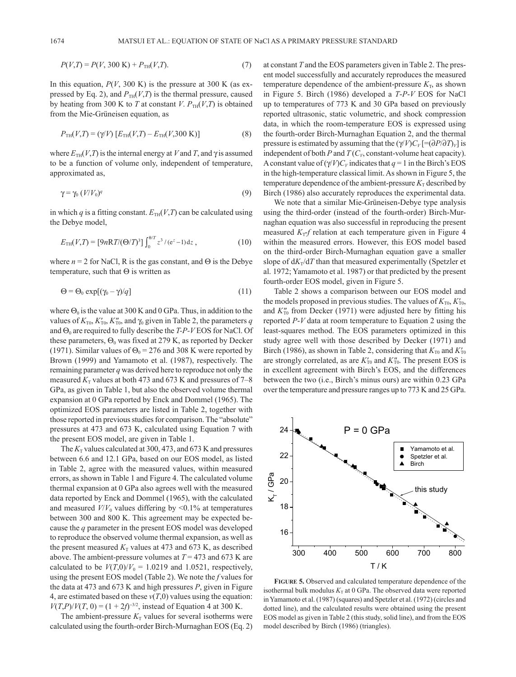$$
P(V,T) = P(V, 300 \text{ K}) + P_{TH}(V,T). \tag{7}
$$

In this equation,  $P(V, 300 \text{ K})$  is the pressure at 300 K (as expressed by Eq. 2), and  $P_{TH}(V,T)$  is the thermal pressure, caused by heating from 300 K to *T* at constant *V*.  $P_{TH}(V, T)$  is obtained from the Mie-Grüneisen equation, as

$$
P_{TH}(V,T) = (\gamma/V) [E_{TH}(V,T) - E_{TH}(V,300 \text{ K})]
$$
\n(8)

where  $E_{TH}(V,T)$  is the internal energy at *V* and *T*, and  $\gamma$  is assumed to be a function of volume only, independent of temperature, approximated as,

$$
\gamma = \gamma_0 \left( \frac{V}{V_0} \right)^q \tag{9}
$$

in which *q* is a fitting constant.  $E_{TH}(V,T)$  can be calculated using the Debye model,

$$
E_{\rm TH}(V,T) = [9nRT/(\Theta/T)^3] \int_0^{\theta/T} z^3 / (e^z - 1) dz , \qquad (10)
$$

where  $n = 2$  for NaCl, R is the gas constant, and  $\Theta$  is the Debye temperature, such that Θ is written as

$$
\Theta = \Theta_0 \exp[(\gamma_0 - \gamma)/q] \tag{11}
$$

where  $\Theta_0$  is the value at 300 K and 0 GPa. Thus, in addition to the values of  $K_{\text{To}}$ ,  $K'_{\text{To}}$ ,  $K''_{\text{To}}$ , and  $\gamma_0$  given in Table 2, the parameters *q* and  $Θ$ <sub>0</sub> are required to fully describe the *T-P-V* EOS for NaCl. Of these parameters,  $\Theta_0$  was fixed at 279 K, as reported by Decker (1971). Similar values of  $\Theta_0 = 276$  and 308 K were reported by Brown (1999) and Yamamoto et al. (1987), respectively. The remaining parameter *q* was derived here to reproduce not only the measured  $K_T$  values at both 473 and 673 K and pressures of 7–8 GPa, as given in Table 1, but also the observed volume thermal expansion at 0 GPa reported by Enck and Dommel (1965). The optimized EOS parameters are listed in Table 2, together with those reported in previous studies for comparison. The "absolute" pressures at 473 and 673 K, calculated using Equation 7 with the present EOS model, are given in Table 1.

The  $K<sub>T</sub>$  values calculated at 300, 473, and 673 K and pressures between 6.6 and 12.1 GPa, based on our EOS model, as listed in Table 2, agree with the measured values, within measured errors, as shown in Table 1 and Figure 4. The calculated volume thermal expansion at 0 GPa also agrees well with the measured data reported by Enck and Dommel (1965), with the calculated and measured  $V/V_0$  values differing by  $\leq 0.1\%$  at temperatures between 300 and 800 K. This agreement may be expected because the *q* parameter in the present EOS model was developed to reproduce the observed volume thermal expansion, as well as the present measured  $K<sub>T</sub>$  values at 473 and 673 K, as described above. The ambient-pressure volumes at *T* = 473 and 673 K are calculated to be  $V(T,0)/V_0 = 1.0219$  and 1.0521, respectively, using the present EOS model (Table 2). We note the *f* values for the data at 473 and 673 K and high pressures *P*, given in Figure 4, are estimated based on these  $v(T,0)$  values using the equation:  $V(T, P)/V(T, 0) = (1 + 2f)^{-3/2}$ , instead of Equation 4 at 300 K.

The ambient-pressure  $K<sub>T</sub>$  values for several isotherms were calculated using the fourth-order Birch-Murnaghan EOS (Eq. 2) at constant *T* and the EOS parameters given in Table 2. The present model successfully and accurately reproduces the measured temperature dependence of the ambient-pressure  $K_T$ , as shown in Figure 5. Birch (1986) developed a *T*-*P*-*V* EOS for NaCl up to temperatures of 773 K and 30 GPa based on previously reported ultrasonic, static volumetric, and shock compression data, in which the room-temperature EOS is expressed using the fourth-order Birch-Murnaghan Equation 2, and the thermal pressure is estimated by assuming that the  $(\gamma/V)C_V$  [= $(\partial P/\partial T)_V$ ] is independent of both *P* and  $T(C_V)$ , constant-volume heat capacity). A constant value of  $(\gamma/V)C_V$  indicates that  $q = 1$  in the Birch's EOS in the high-temperature classical limit. As shown in Figure 5, the temperature dependence of the ambient-pressure  $K<sub>T</sub>$  described by Birch (1986) also accurately reproduces the experimental data.

We note that a similar Mie-Grüneisen-Debye type analysis using the third-order (instead of the fourth-order) Birch-Murnaghan equation was also successful in reproducing the present measured  $K_T$ -*f* relation at each temperature given in Figure 4 within the measured errors. However, this EOS model based on the third-order Birch-Murnaghan equation gave a smaller slope of  $dK_T/dT$  than that measured experimentally (Spetzler et al. 1972; Yamamoto et al. 1987) or that predicted by the present fourth-order EOS model, given in Figure 5.

Table 2 shows a comparison between our EOS model and the models proposed in previous studies. The values of  $K_{\text{TO}}$ ,  $K'_{\text{TO}}$ , and  $K''_{\text{TO}}$  from Decker (1971) were adjusted here by fitting his reported *P*-*V* data at room temperature to Equation 2 using the least-squares method. The EOS parameters optimized in this study agree well with those described by Decker (1971) and Birch (1986), as shown in Table 2, considering that  $K_{\text{TO}}$  and  $K'_{\text{TO}}$ are strongly correlated, as are  $K'_{T0}$  and  $K''_{T0}$ . The present EOS is in excellent agreement with Birch's EOS, and the differences between the two (i.e., Birch's minus ours) are within 0.23 GPa over the temperature and pressure ranges up to 773 K and 25 GPa.



**Figure 5.** Observed and calculated temperature dependence of the isothermal bulk modulus  $K<sub>T</sub>$  at 0 GPa. The observed data were reported in Yamamoto et al. (1987) (squares) and Spetzler et al. (1972) (circles and dotted line), and the calculated results were obtained using the present EOS model as given in Table 2 (this study, solid line), and from the EOS model described by Birch (1986) (triangles).